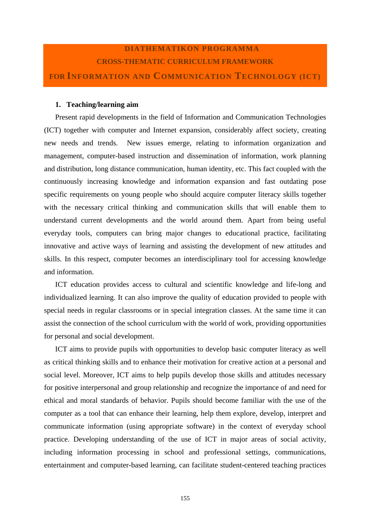### **DIATHEMATIKON PROGRAMMA CROSS-THEMATIC CURRICULUM FRAMEWORK FOR INFORMATION AND COMMUNICATION TECHNOLOGY (ICT)**

#### **1. Teaching/learning aim**

Present rapid developments in the field of Information and Communication Technologies (ICT) together with computer and Internet expansion, considerably affect society, creating new needs and trends. New issues emerge, relating to information organization and management, computer-based instruction and dissemination of information, work planning and distribution, long distance communication, human identity, etc. This fact coupled with the continuously increasing knowledge and information expansion and fast outdating pose specific requirements on young people who should acquire computer literacy skills together with the necessary critical thinking and communication skills that will enable them to understand current developments and the world around them. Apart from being useful everyday tools, computers can bring major changes to educational practice, facilitating innovative and active ways of learning and assisting the development of new attitudes and skills. In this respect, computer becomes an interdisciplinary tool for accessing knowledge and information.

ICT education provides access to cultural and scientific knowledge and life-long and individualized learning. It can also improve the quality of education provided to people with special needs in regular classrooms or in special integration classes. At the same time it can assist the connection of the school curriculum with the world of work, providing opportunities for personal and social development.

ICT aims to provide pupils with opportunities to develop basic computer literacy as well as critical thinking skills and to enhance their motivation for creative action at a personal and social level. Moreover, ICT aims to help pupils develop those skills and attitudes necessary for positive interpersonal and group relationship and recognize the importance of and need for ethical and moral standards of behavior. Pupils should become familiar with the use of the computer as a tool that can enhance their learning, help them explore, develop, interpret and communicate information (using appropriate software) in the context of everyday school practice. Developing understanding of the use of ICT in major areas of social activity, including information processing in school and professional settings, communications, entertainment and computer-based learning, can facilitate student-centered teaching practices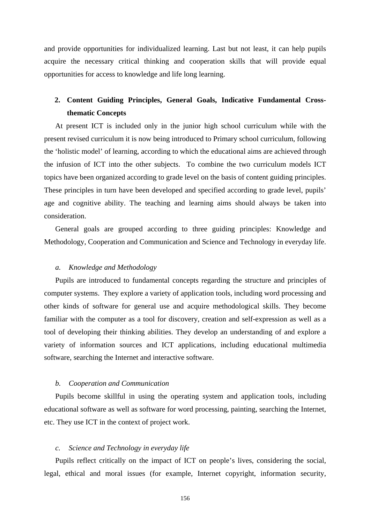and provide opportunities for individualized learning. Last but not least, it can help pupils acquire the necessary critical thinking and cooperation skills that will provide equal opportunities for access to knowledge and life long learning.

### **2. Content Guiding Principles, General Goals, Indicative Fundamental Crossthematic Concepts**

At present ICT is included only in the junior high school curriculum while with the present revised curriculum it is now being introduced to Primary school curriculum, following the 'holistic model' of learning, according to which the educational aims are achieved through the infusion of ICT into the other subjects. To combine the two curriculum models ICT topics have been organized according to grade level on the basis of content guiding principles. These principles in turn have been developed and specified according to grade level, pupils' age and cognitive ability. The teaching and learning aims should always be taken into consideration.

General goals are grouped according to three guiding principles: Knowledge and Methodology, Cooperation and Communication and Science and Technology in everyday life.

#### *a. Knowledge and Methodology*

Pupils are introduced to fundamental concepts regarding the structure and principles of computer systems. They explore a variety of application tools, including word processing and other kinds of software for general use and acquire methodological skills. They become familiar with the computer as a tool for discovery, creation and self-expression as well as a tool of developing their thinking abilities. They develop an understanding of and explore a variety of information sources and ICT applications, including educational multimedia software, searching the Internet and interactive software.

#### *b. Cooperation and Communication*

Pupils become skillful in using the operating system and application tools, including educational software as well as software for word processing, painting, searching the Internet, etc. They use ICT in the context of project work.

#### *c. Science and Technology in everyday life*

Pupils reflect critically on the impact of ICT on people's lives, considering the social, legal, ethical and moral issues (for example, Internet copyright, information security,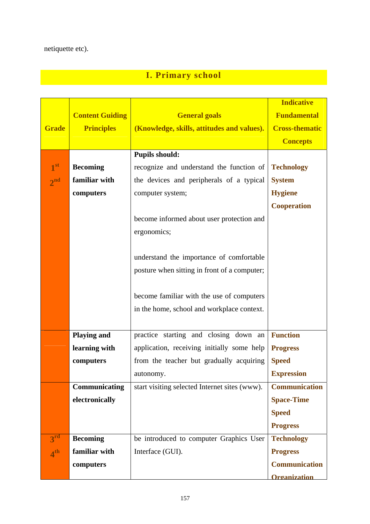# **I. Primary school**

|                 |                        |                                               | <b>Indicative</b>     |
|-----------------|------------------------|-----------------------------------------------|-----------------------|
|                 | <b>Content Guiding</b> | <b>General goals</b>                          | <b>Fundamental</b>    |
| <b>Grade</b>    | <b>Principles</b>      | (Knowledge, skills, attitudes and values).    | <b>Cross-thematic</b> |
|                 |                        |                                               | <b>Concepts</b>       |
|                 |                        | <b>Pupils should:</b>                         |                       |
| 1 <sup>st</sup> | <b>Becoming</b>        | recognize and understand the function of      | <b>Technology</b>     |
| 2 <sub>nd</sub> | familiar with          | the devices and peripherals of a typical      | <b>System</b>         |
|                 | computers              | computer system;                              | <b>Hygiene</b>        |
|                 |                        |                                               | <b>Cooperation</b>    |
|                 |                        | become informed about user protection and     |                       |
|                 |                        | ergonomics;                                   |                       |
|                 |                        |                                               |                       |
|                 |                        | understand the importance of comfortable      |                       |
|                 |                        | posture when sitting in front of a computer;  |                       |
|                 |                        |                                               |                       |
|                 |                        | become familiar with the use of computers     |                       |
|                 |                        | in the home, school and workplace context.    |                       |
|                 |                        |                                               |                       |
|                 | <b>Playing and</b>     | practice starting and closing down an         | <b>Function</b>       |
|                 | learning with          | application, receiving initially some help    | <b>Progress</b>       |
|                 | computers              | from the teacher but gradually acquiring      | <b>Speed</b>          |
|                 |                        | autonomy.                                     | <b>Expression</b>     |
|                 | Communicating          | start visiting selected Internet sites (www). | <b>Communication</b>  |
|                 | electronically         |                                               | <b>Space-Time</b>     |
|                 |                        |                                               | <b>Speed</b>          |
|                 |                        |                                               | <b>Progress</b>       |
| 3 <sup>rd</sup> | <b>Becoming</b>        | be introduced to computer Graphics User       | <b>Technology</b>     |
| 4 <sup>th</sup> | familiar with          | Interface (GUI).                              | <b>Progress</b>       |
|                 | computers              |                                               | <b>Communication</b>  |
|                 |                        |                                               | <b>Organization</b>   |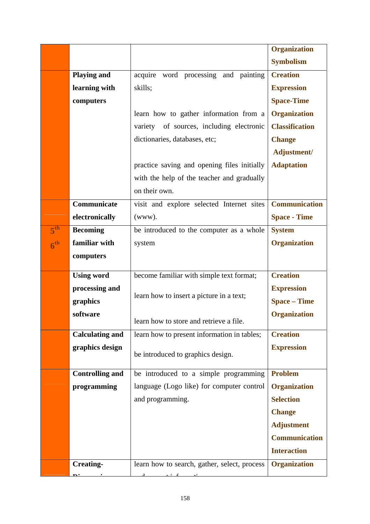|                 |                        |                                              | <b>Organization</b>   |
|-----------------|------------------------|----------------------------------------------|-----------------------|
|                 |                        |                                              | <b>Symbolism</b>      |
|                 | <b>Playing and</b>     | acquire word processing<br>and painting      | <b>Creation</b>       |
|                 | learning with          | skills;                                      | <b>Expression</b>     |
|                 | computers              |                                              | <b>Space-Time</b>     |
|                 |                        | learn how to gather information from a       | <b>Organization</b>   |
|                 |                        | variety of sources, including electronic     | <b>Classification</b> |
|                 |                        | dictionaries, databases, etc;                | <b>Change</b>         |
|                 |                        |                                              | Adjustment/           |
|                 |                        | practice saving and opening files initially  | <b>Adaptation</b>     |
|                 |                        | with the help of the teacher and gradually   |                       |
|                 |                        | on their own.                                |                       |
|                 | Communicate            | visit and explore selected Internet sites    | <b>Communication</b>  |
|                 | electronically         | (www).                                       | <b>Space - Time</b>   |
| $5^{\text{th}}$ | <b>Becoming</b>        | be introduced to the computer as a whole     | <b>System</b>         |
| 6 <sup>th</sup> | familiar with          | system                                       | <b>Organization</b>   |
|                 | computers              |                                              |                       |
|                 | <b>Using word</b>      | become familiar with simple text format;     | <b>Creation</b>       |
|                 | processing and         |                                              | <b>Expression</b>     |
|                 | graphics               | learn how to insert a picture in a text;     | <b>Space – Time</b>   |
|                 | software               |                                              | <b>Organization</b>   |
|                 |                        | learn how to store and retrieve a file.      |                       |
|                 | <b>Calculating and</b> | learn how to present information in tables;  | <b>Creation</b>       |
|                 | graphics design        | be introduced to graphics design.            | <b>Expression</b>     |
|                 | <b>Controlling and</b> | be introduced to a simple programming        | <b>Problem</b>        |
|                 | programming            | language (Logo like) for computer control    | <b>Organization</b>   |
|                 |                        | and programming.                             | <b>Selection</b>      |
|                 |                        |                                              | <b>Change</b>         |
|                 |                        |                                              | <b>Adjustment</b>     |
|                 |                        |                                              | <b>Communication</b>  |
|                 |                        |                                              | <b>Interaction</b>    |
|                 | <b>Creating-</b>       | learn how to search, gather, select, process | <b>Organization</b>   |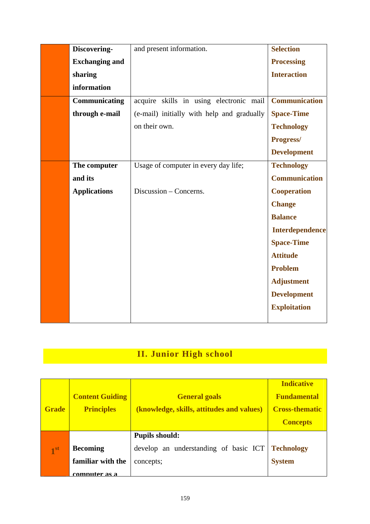| Discovering-          | and present information.                   | <b>Selection</b>       |
|-----------------------|--------------------------------------------|------------------------|
| <b>Exchanging and</b> |                                            | <b>Processing</b>      |
| sharing               |                                            | <b>Interaction</b>     |
| information           |                                            |                        |
| Communicating         | acquire skills in using electronic mail    | <b>Communication</b>   |
| through e-mail        | (e-mail) initially with help and gradually | <b>Space-Time</b>      |
|                       | on their own.                              | <b>Technology</b>      |
|                       |                                            | Progress/              |
|                       |                                            | <b>Development</b>     |
| The computer          | Usage of computer in every day life;       | <b>Technology</b>      |
| and its               |                                            | <b>Communication</b>   |
| <b>Applications</b>   | Discussion – Concerns.                     | <b>Cooperation</b>     |
|                       |                                            | <b>Change</b>          |
|                       |                                            | <b>Balance</b>         |
|                       |                                            | <b>Interdependence</b> |
|                       |                                            | <b>Space-Time</b>      |
|                       |                                            | <b>Attitude</b>        |
|                       |                                            | <b>Problem</b>         |
|                       |                                            | <b>Adjustment</b>      |
|                       |                                            | <b>Development</b>     |
|                       |                                            | <b>Exploitation</b>    |
|                       |                                            |                        |

# **II. Junior High school**

| <b>Grade</b>    | <b>Content Guiding</b><br><b>Principles</b>           | <b>General goals</b><br>(knowledge, skills, attitudes and values)           | <b>Indicative</b><br><b>Fundamental</b><br><b>Cross-thematic</b><br><b>Concepts</b> |
|-----------------|-------------------------------------------------------|-----------------------------------------------------------------------------|-------------------------------------------------------------------------------------|
| 1 <sup>st</sup> | <b>Becoming</b><br>familiar with the<br>computer as a | <b>Pupils should:</b><br>develop an understanding of basic ICT<br>concepts; | <b>Technology</b><br><b>System</b>                                                  |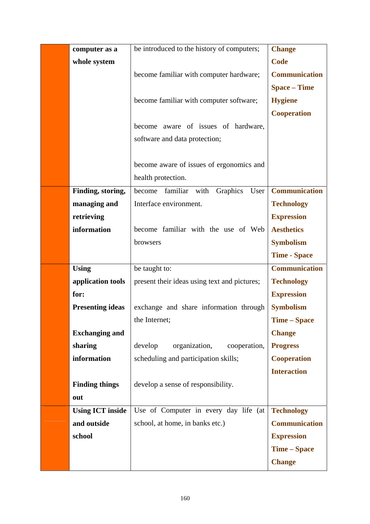| computer as a           | be introduced to the history of computers;   | <b>Change</b>        |
|-------------------------|----------------------------------------------|----------------------|
| whole system            |                                              | <b>Code</b>          |
|                         | become familiar with computer hardware;      | <b>Communication</b> |
|                         |                                              | <b>Space – Time</b>  |
|                         | become familiar with computer software;      | <b>Hygiene</b>       |
|                         |                                              | <b>Cooperation</b>   |
|                         | become aware of issues of hardware,          |                      |
|                         | software and data protection;                |                      |
|                         |                                              |                      |
|                         | become aware of issues of ergonomics and     |                      |
|                         | health protection.                           |                      |
| Finding, storing,       | familiar with Graphics User<br>become        | <b>Communication</b> |
| managing and            | Interface environment.                       | <b>Technology</b>    |
| retrieving              |                                              | <b>Expression</b>    |
| information             | become familiar with the use of Web          | <b>Aesthetics</b>    |
|                         | browsers                                     | <b>Symbolism</b>     |
|                         |                                              | <b>Time - Space</b>  |
| <b>Using</b>            | be taught to:                                | <b>Communication</b> |
| application tools       | present their ideas using text and pictures; | <b>Technology</b>    |
| for:                    |                                              | <b>Expression</b>    |
| <b>Presenting ideas</b> | exchange and share information through       | <b>Symbolism</b>     |
|                         | the Internet;                                | <b>Time - Space</b>  |
| <b>Exchanging and</b>   |                                              | <b>Change</b>        |
| sharing                 | develop<br>organization,<br>cooperation,     | <b>Progress</b>      |
| information             | scheduling and participation skills;         | <b>Cooperation</b>   |
|                         |                                              | <b>Interaction</b>   |
| <b>Finding things</b>   | develop a sense of responsibility.           |                      |
| out                     |                                              |                      |
| <b>Using ICT inside</b> | Use of Computer in every day life (at        | <b>Technology</b>    |
| and outside             | school, at home, in banks etc.)              | <b>Communication</b> |
| school                  |                                              | <b>Expression</b>    |
|                         |                                              | <b>Time – Space</b>  |
|                         |                                              | <b>Change</b>        |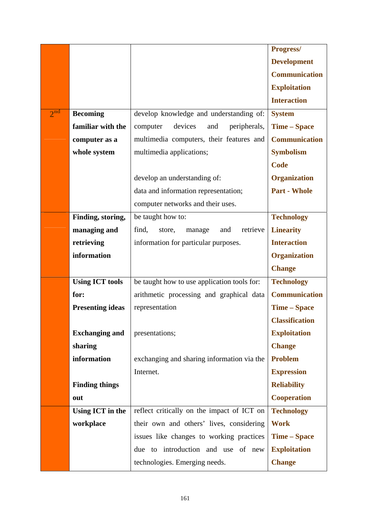|                 |                         |                                              | Progress/             |
|-----------------|-------------------------|----------------------------------------------|-----------------------|
|                 |                         |                                              | <b>Development</b>    |
|                 |                         |                                              | <b>Communication</b>  |
|                 |                         |                                              | <b>Exploitation</b>   |
|                 |                         |                                              | <b>Interaction</b>    |
| $2^{\text{nd}}$ | <b>Becoming</b>         | develop knowledge and understanding of:      | <b>System</b>         |
|                 | familiar with the       | devices<br>computer<br>peripherals,<br>and   | <b>Time – Space</b>   |
|                 | computer as a           | multimedia computers, their features and     | <b>Communication</b>  |
|                 | whole system            | multimedia applications;                     | <b>Symbolism</b>      |
|                 |                         |                                              | <b>Code</b>           |
|                 |                         | develop an understanding of:                 | <b>Organization</b>   |
|                 |                         | data and information representation;         | <b>Part - Whole</b>   |
|                 |                         | computer networks and their uses.            |                       |
|                 | Finding, storing,       | be taught how to:                            | <b>Technology</b>     |
|                 | managing and            | find,<br>retrieve<br>store,<br>manage<br>and | <b>Linearity</b>      |
|                 | retrieving              | information for particular purposes.         | <b>Interaction</b>    |
|                 | information             |                                              | <b>Organization</b>   |
|                 |                         |                                              | <b>Change</b>         |
|                 | <b>Using ICT tools</b>  | be taught how to use application tools for:  | <b>Technology</b>     |
|                 | for:                    | arithmetic processing and graphical data     | <b>Communication</b>  |
|                 | <b>Presenting ideas</b> | representation                               | <b>Time – Space</b>   |
|                 |                         |                                              | <b>Classification</b> |
|                 | <b>Exchanging and</b>   | presentations;                               | <b>Exploitation</b>   |
|                 | sharing                 |                                              | <b>Change</b>         |
|                 | information             | exchanging and sharing information via the   | <b>Problem</b>        |
|                 |                         | Internet.                                    | <b>Expression</b>     |
|                 | <b>Finding things</b>   |                                              | <b>Reliability</b>    |
|                 | out                     |                                              | <b>Cooperation</b>    |
|                 | Using ICT in the        | reflect critically on the impact of ICT on   | <b>Technology</b>     |
|                 | workplace               | their own and others' lives, considering     | <b>Work</b>           |
|                 |                         | issues like changes to working practices     | <b>Time – Space</b>   |
|                 |                         | due to introduction and use of new           | <b>Exploitation</b>   |
|                 |                         | technologies. Emerging needs.                | <b>Change</b>         |